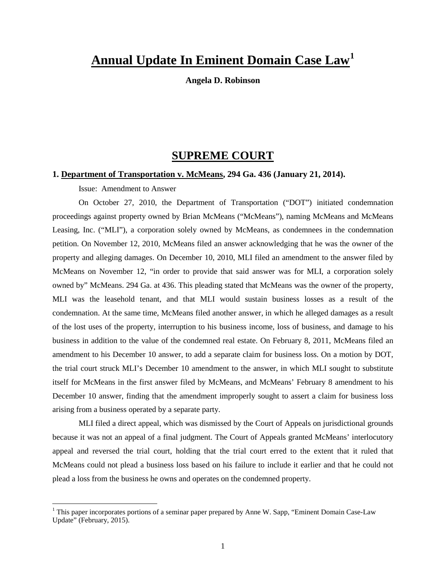# **Annual Update In Eminent Domain Case Law[1](#page-0-0)**

**Angela D. Robinson** 

# **SUPREME COURT**

## **1. Department of Transportation v. McMeans, 294 Ga. 436 (January 21, 2014).**

Issue: Amendment to Answer

On October 27, 2010, the Department of Transportation ("DOT") initiated condemnation proceedings against property owned by Brian McMeans ("McMeans"), naming McMeans and McMeans Leasing, Inc. ("MLI"), a corporation solely owned by McMeans, as condemnees in the condemnation petition. On November 12, 2010, McMeans filed an answer acknowledging that he was the owner of the property and alleging damages. On December 10, 2010, MLI filed an amendment to the answer filed by McMeans on November 12, "in order to provide that said answer was for MLI, a corporation solely owned by" McMeans. 294 Ga. at 436. This pleading stated that McMeans was the owner of the property, MLI was the leasehold tenant, and that MLI would sustain business losses as a result of the condemnation. At the same time, McMeans filed another answer, in which he alleged damages as a result of the lost uses of the property, interruption to his business income, loss of business, and damage to his business in addition to the value of the condemned real estate. On February 8, 2011, McMeans filed an amendment to his December 10 answer, to add a separate claim for business loss. On a motion by DOT, the trial court struck MLI's December 10 amendment to the answer, in which MLI sought to substitute itself for McMeans in the first answer filed by McMeans, and McMeans' February 8 amendment to his December 10 answer, finding that the amendment improperly sought to assert a claim for business loss arising from a business operated by a separate party.

MLI filed a direct appeal, which was dismissed by the Court of Appeals on jurisdictional grounds because it was not an appeal of a final judgment. The Court of Appeals granted McMeans' interlocutory appeal and reversed the trial court, holding that the trial court erred to the extent that it ruled that McMeans could not plead a business loss based on his failure to include it earlier and that he could not plead a loss from the business he owns and operates on the condemned property.

<span id="page-0-0"></span><sup>&</sup>lt;sup>1</sup> This paper incorporates portions of a seminar paper prepared by Anne W. Sapp, "Eminent Domain Case-Law" Update" (February, 2015).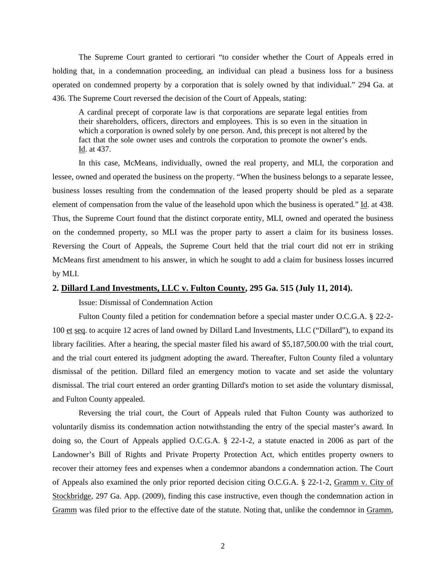The Supreme Court granted to certiorari "to consider whether the Court of Appeals erred in holding that, in a condemnation proceeding, an individual can plead a business loss for a business operated on condemned property by a corporation that is solely owned by that individual." 294 Ga. at 436. The Supreme Court reversed the decision of the Court of Appeals, stating:

A cardinal precept of corporate law is that corporations are separate legal entities from their shareholders, officers, directors and employees. This is so even in the situation in which a corporation is owned solely by one person. And, this precept is not altered by the fact that the sole owner uses and controls the corporation to promote the owner's ends. Id. at 437.

In this case, McMeans, individually, owned the real property, and MLI, the corporation and lessee, owned and operated the business on the property. "When the business belongs to a separate lessee, business losses resulting from the condemnation of the leased property should be pled as a separate element of compensation from the value of the leasehold upon which the business is operated." Id. at 438. Thus, the Supreme Court found that the distinct corporate entity, MLI, owned and operated the business on the condemned property, so MLI was the proper party to assert a claim for its business losses. Reversing the Court of Appeals, the Supreme Court held that the trial court did not err in striking McMeans first amendment to his answer, in which he sought to add a claim for business losses incurred by MLI.

## **2. Dillard Land Investments, LLC v. Fulton County, 295 Ga. 515 (July 11, 2014).**

Issue: Dismissal of Condemnation Action

Fulton County filed a petition for condemnation before a special master under [O.C.G.A. § 22-2-](https://www.lexis.com/research/buttonTFLink?_m=8bc798c20d6072aff73e9121c14fd2ae&_xfercite=%3ccite%20cc%3d%22USA%22%3e%3c%21%5bCDATA%5b322%20Ga.%20App.%20344%5d%5d%3e%3c%2fcite%3e&_butType=4&_butStat=0&_butNum=2&_butInline=1&_butinfo=O.C.G.A.%2022-2-100&_fmtstr=FULL&docnum=3&_startdoc=1&wchp=dGLzVzt-zSkAl&_md5=0952d4b247777ca640cdb79c6633675b) [100 et](https://www.lexis.com/research/buttonTFLink?_m=8bc798c20d6072aff73e9121c14fd2ae&_xfercite=%3ccite%20cc%3d%22USA%22%3e%3c%21%5bCDATA%5b322%20Ga.%20App.%20344%5d%5d%3e%3c%2fcite%3e&_butType=4&_butStat=0&_butNum=2&_butInline=1&_butinfo=O.C.G.A.%2022-2-100&_fmtstr=FULL&docnum=3&_startdoc=1&wchp=dGLzVzt-zSkAl&_md5=0952d4b247777ca640cdb79c6633675b) seq. to acquire 12 acres of land owned by Dillard Land Investments, LLC ("Dillard"), to expand its library facilities. After a hearing, the special master filed his award of \$5,187,500.00 with the trial court, and the trial court entered its judgment adopting the award. Thereafter, Fulton County filed a voluntary dismissal of the petition. Dillard filed an emergency motion to vacate and set aside the voluntary dismissal. The trial court entered an order granting Dillard's motion to set aside the voluntary dismissal, and Fulton County appealed.

Reversing the trial court, the Court of Appeals ruled that Fulton County was authorized to voluntarily dismiss its condemnation action notwithstanding the entry of the special master's award. In doing so, the Court of Appeals applied O.C.G.A. § 22-1-2, a statute enacted in 2006 as part of the Landowner's Bill of Rights and Private Property Protection Act, which entitles property owners to recover their attorney fees and expenses when a condemnor abandons a condemnation action. The Court of Appeals also examined the only prior reported decision citing O.C.G.A. § 22-1-2, Gramm v. City of Stockbridge, 297 Ga. App. (2009), finding this case instructive, even though the condemnation action in Gramm was filed prior to the effective date of the statute. Noting that, unlike the condemnor in Gramm,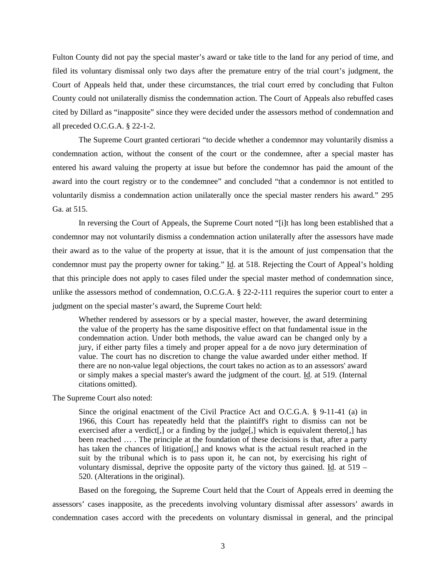Fulton County did not pay the special master's award or take title to the land for any period of time, and filed its voluntary dismissal only two days after the premature entry of the trial court's judgment, the Court of Appeals held that, under these circumstances, the trial court erred by concluding that Fulton County could not unilaterally dismiss the condemnation action. The Court of Appeals also rebuffed cases cited by Dillard as "inapposite" since they were decided under the assessors method of condemnation and all preceded O.C.G.A. § 22-1-2.

The Supreme Court granted certiorari "to decide whether a condemnor may voluntarily dismiss a condemnation action, without the consent of the court or the condemnee, after a special master has entered his award valuing the property at issue but before the condemnor has paid the amount of the award into the court registry or to the condemnee" and concluded "that a condemnor is not entitled to voluntarily dismiss a condemnation action unilaterally once the special master renders his award." 295 Ga. at 515.

In reversing the Court of Appeals, the Supreme Court noted "[i]t has long been established that a condemnor may not voluntarily dismiss a condemnation action unilaterally after the assessors have made their award as to the value of the property at issue, that it is the amount of just compensation that the condemnor must pay the property owner for taking." Id. at 518. Rejecting the Court of Appeal's holding that this principle does not apply to cases filed under the special master method of condemnation since, unlike the assessors method of condemnation, O.C.G.A. § 22-2-111 requires the superior court to enter a judgment on the special master's award, the Supreme Court held:

Whether rendered by assessors or by a special master, however, the award determining the value of the property has the same dispositive effect on that fundamental issue in the condemnation action. Under both methods, the value award can be changed only by a jury, if either party files a timely and proper appeal for a de novo jury determination of value. The court has no discretion to change the value awarded under either method. If there are no non-value legal objections, the court takes no action as to an assessors' award or simply makes a special master's award the judgment of the court. Id. at 519. (Internal citations omitted).

The Supreme Court also noted:

Since the original enactment of the Civil Practice Act and O.C.G.A. § 9-11-41 (a) in 1966, this Court has repeatedly held that the plaintiff's right to dismiss can not be exercised after a verdict.  $\int$  or a finding by the judge.  $\int$  which is equivalent thereto.  $\int$  has been reached … . The principle at the foundation of these decisions is that, after a party has taken the chances of litigation[,] and knows what is the actual result reached in the suit by the tribunal which is to pass upon it, he can not, by exercising his right of voluntary dismissal, deprive the opposite party of the victory thus gained. Id. at 519 – 520. (Alterations in the original).

Based on the foregoing, the Supreme Court held that the Court of Appeals erred in deeming the assessors' cases inapposite, as the precedents involving voluntary dismissal after assessors' awards in condemnation cases accord with the precedents on voluntary dismissal in general, and the principal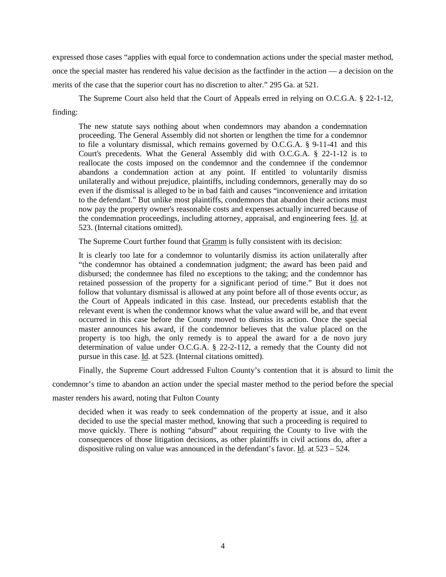expressed those cases "applies with equal force to condemnation actions under the special master method, once the special master has rendered his value decision as the factfinder in the action — a decision on the merits of the case that the superior court has no discretion to alter." 295 Ga. at 521.

The Supreme Court also held that the Court of Appeals erred in relying on O.C.G.A. § 22-1-12, finding:

The new statute says nothing about when condemnors may abandon a condemnation proceeding. The General Assembly did not shorten or lengthen the time for a condemnor to file a voluntary dismissal, which remains governed by O.C.G.A. § 9-11-41 and this Court's precedents. What the General Assembly did with O.C.G.A. § 22-1-12 is to reallocate the costs imposed on the condemnor and the condemnee if the condemnor abandons a condemnation action at any point. If entitled to voluntarily dismiss unilaterally and without prejudice, plaintiffs, including condemnors, generally may do so even if the dismissal is alleged to be in bad faith and causes "inconvenience and irritation to the defendant." But unlike most plaintiffs, condemnors that abandon their actions must now pay the property owner's reasonable costs and expenses actually incurred because of the condemnation proceedings, including attorney, appraisal, and engineering fees. Id. at 523. (Internal citations omitted).

The Supreme Court further found that Gramm is fully consistent with its decision:

It is clearly too late for a condemnor to voluntarily dismiss its action unilaterally after "the condemnor has obtained a condemnation judgment; the award has been paid and disbursed; the condemnee has filed no exceptions to the taking; and the condemnor has retained possession of the property for a significant period of time." But it does not follow that voluntary dismissal is allowed at any point before all of those events occur, as the Court of Appeals indicated in this case. Instead, our precedents establish that the relevant event is when the condemnor knows what the value award will be, and that event occurred in this case before the County moved to dismiss its action. Once the special master announces his award, if the condemnor believes that the value placed on the property is too high, the only remedy is to appeal the award for a de novo jury determination of value under O.C.G.A. § 22-2-112, a remedy that the County did not pursue in this case. Id. at 523. (Internal citations omitted).

Finally, the Supreme Court addressed Fulton County's contention that it is absurd to limit the

condemnor's time to abandon an action under the special master method to the period before the special

master renders his award, noting that Fulton County

decided when it was ready to seek condemnation of the property at issue, and it also decided to use the special master method, knowing that such a proceeding is required to move quickly. There is nothing "absurd" about requiring the County to live with the consequences of those litigation decisions, as other plaintiffs in civil actions do, after a dispositive ruling on value was announced in the defendant's favor. Id. at  $523 - 524$ .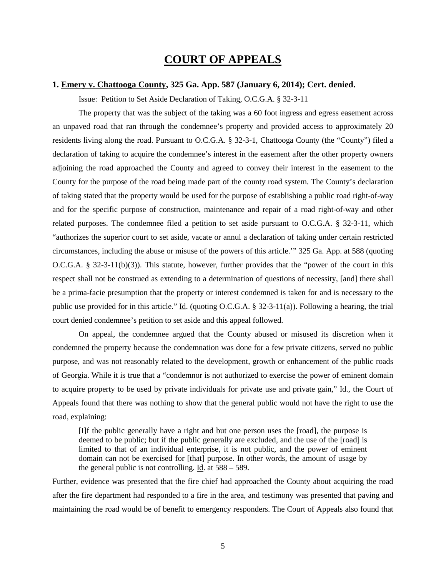# **COURT OF APPEALS**

## **1. Emery v. Chattooga County, 325 Ga. App. 587 (January 6, 2014); Cert. denied.**

Issue: Petition to Set Aside Declaration of Taking, O.C.G.A. § 32-3-11

The property that was the subject of the taking was a 60 foot ingress and egress easement across an unpaved road that ran through the condemnee's property and provided access to approximately 20 residents living along the road. Pursuant to O.C.G.A. § 32-3-1, Chattooga County (the "County") filed a declaration of taking to acquire the condemnee's interest in the easement after the other property owners adjoining the road approached the County and agreed to convey their interest in the easement to the County for the purpose of the road being made part of the county road system. The County's declaration of taking stated that the property would be used for the purpose of establishing a public road right-of-way and for the specific purpose of construction, maintenance and repair of a road right-of-way and other related purposes. The condemnee filed a petition to set aside pursuant to O.C.G.A. § 32-3-11, which "authorizes the superior court to set aside, vacate or annul a declaration of taking under certain restricted circumstances, including the abuse or misuse of the powers of this article.'" 325 Ga. App. at 588 (quoting O.C.G.A. § 32-3-11(b)(3)). This statute, however, further provides that the "power of the court in this respect shall not be construed as extending to a determination of questions of necessity, [and] there shall be a prima-facie presumption that the property or interest condemned is taken for and is necessary to the public use provided for in this article." Id. (quoting O.C.G.A. § 32-3-11(a)). Following a hearing, the trial court denied condemnee's petition to set aside and this appeal followed.

On appeal, the condemnee argued that the County abused or misused its discretion when it condemned the property because the condemnation was done for a few private citizens, served no public purpose, and was not reasonably related to the development, growth or enhancement of the public roads of Georgia. While it is true that a "condemnor is not authorized to exercise the power of eminent domain to acquire property to be used by private individuals for private use and private gain," Id., the Court of Appeals found that there was nothing to show that the general public would not have the right to use the road, explaining:

[I]f the public generally have a right and but one person uses the [road], the purpose is deemed to be public; but if the public generally are excluded, and the use of the [road] is limited to that of an individual enterprise, it is not public, and the power of eminent domain can not be exercised for [that] purpose. In other words, the amount of usage by the general public is not controlling. Id. at 588 – 589.

Further, evidence was presented that the fire chief had approached the County about acquiring the road after the fire department had responded to a fire in the area, and testimony was presented that paving and maintaining the road would be of benefit to emergency responders. The Court of Appeals also found that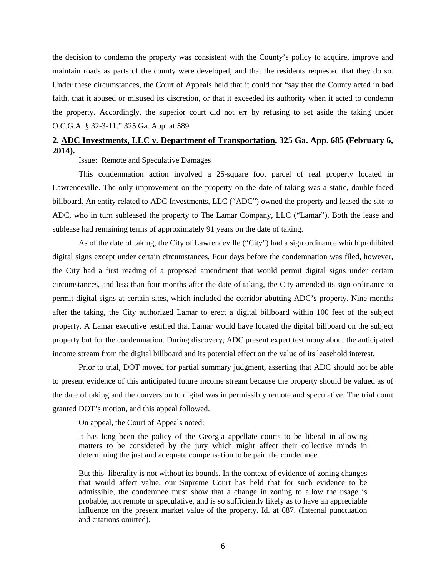the decision to condemn the property was consistent with the County's policy to acquire, improve and maintain roads as parts of the county were developed, and that the residents requested that they do so. Under these circumstances, the Court of Appeals held that it could not "say that the County acted in bad faith, that it abused or misused its discretion, or that it exceeded its authority when it acted to condemn the property. Accordingly, the superior court did not err by refusing to set aside the taking under O.C.G.A. § 32-3-11." 325 Ga. App. at 589.

# **2. ADC Investments, LLC v. Department of Transportation, 325 Ga. App. 685 (February 6, 2014).**

Issue: Remote and Speculative Damages

This condemnation action involved a 25-square foot parcel of real property located in Lawrenceville. The only improvement on the property on the date of taking was a static, double-faced billboard. An entity related to ADC Investments, LLC ("ADC") owned the property and leased the site to ADC, who in turn subleased the property to The Lamar Company, LLC ("Lamar"). Both the lease and sublease had remaining terms of approximately 91 years on the date of taking.

As of the date of taking, the City of Lawrenceville ("City") had a sign ordinance which prohibited digital signs except under certain circumstances. Four days before the condemnation was filed, however, the City had a first reading of a proposed amendment that would permit digital signs under certain circumstances, and less than four months after the date of taking, the City amended its sign ordinance to permit digital signs at certain sites, which included the corridor abutting ADC's property. Nine months after the taking, the City authorized Lamar to erect a digital billboard within 100 feet of the subject property. A Lamar executive testified that Lamar would have located the digital billboard on the subject property but for the condemnation. During discovery, ADC present expert testimony about the anticipated income stream from the digital billboard and its potential effect on the value of its leasehold interest.

Prior to trial, DOT moved for partial summary judgment, asserting that ADC should not be able to present evidence of this anticipated future income stream because the property should be valued as of the date of taking and the conversion to digital was impermissibly remote and speculative. The trial court granted DOT's motion, and this appeal followed.

On appeal, the Court of Appeals noted:

It has long been the policy of the Georgia appellate courts to be liberal in allowing matters to be considered by the jury which might affect their collective minds in determining the just and adequate compensation to be paid the condemnee.

But this liberality is not without its bounds. In the context of evidence of zoning changes that would affect value, our Supreme Court has held that for such evidence to be admissible, the condemnee must show that a change in zoning to allow the usage is probable, not remote or speculative, and is so sufficiently likely as to have an appreciable influence on the present market value of the property. Id. at 687. (Internal punctuation and citations omitted).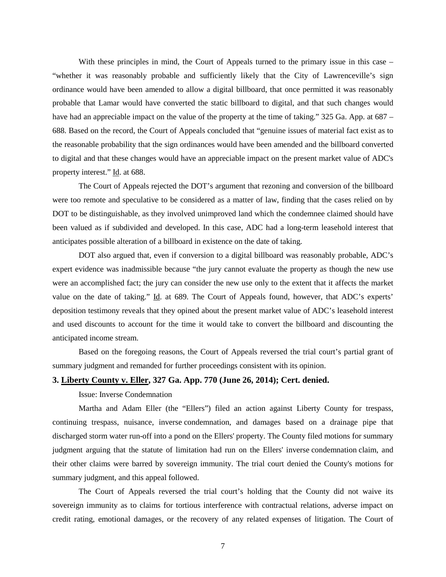With these principles in mind, the Court of Appeals turned to the primary issue in this case – "whether it was reasonably probable and sufficiently likely that the City of Lawrenceville's sign ordinance would have been amended to allow a digital billboard, that once permitted it was reasonably probable that Lamar would have converted the static billboard to digital, and that such changes would have had an appreciable impact on the value of the property at the time of taking." 325 Ga. App. at 687 – 688. Based on the record, the Court of Appeals concluded that "genuine issues of material fact exist as to the reasonable probability that the sign ordinances would have been amended and the billboard converted to digital and that these changes would have an appreciable impact on the present market value of ADC's property interest." Id. at 688.

The Court of Appeals rejected the DOT's argument that rezoning and conversion of the billboard were too remote and speculative to be considered as a matter of law, finding that the cases relied on by DOT to be distinguishable, as they involved unimproved land which the condemnee claimed should have been valued as if subdivided and developed. In this case, ADC had a long-term leasehold interest that anticipates possible alteration of a billboard in existence on the date of taking.

DOT also argued that, even if conversion to a digital billboard was reasonably probable, ADC's expert evidence was inadmissible because "the jury cannot evaluate the property as though the new use were an accomplished fact; the jury can consider the new use only to the extent that it affects the market value on the date of taking." Id. at 689. The Court of Appeals found, however, that ADC's experts' deposition testimony reveals that they opined about the present market value of ADC's leasehold interest and used discounts to account for the time it would take to convert the billboard and discounting the anticipated income stream.

Based on the foregoing reasons, the Court of Appeals reversed the trial court's partial grant of summary judgment and remanded for further proceedings consistent with its opinion.

# **3. Liberty County v. Eller, 327 Ga. App. 770 (June 26, 2014); Cert. denied.**

Issue: Inverse Condemnation

Martha and Adam Eller (the "Ellers") filed an action against Liberty County for trespass, continuing trespass, nuisance, inverse condemnation, and damages based on a drainage pipe that discharged storm water run-off into a pond on the Ellers' property. The County filed motions for summary judgment arguing that the statute of limitation had run on the Ellers' inverse condemnation claim, and their other claims were barred by sovereign immunity. The trial court denied the County's motions for summary judgment, and this appeal followed.

The Court of Appeals reversed the trial court's holding that the County did not waive its sovereign immunity as to claims for tortious interference with contractual relations, adverse impact on credit rating, emotional damages, or the recovery of any related expenses of litigation. The Court of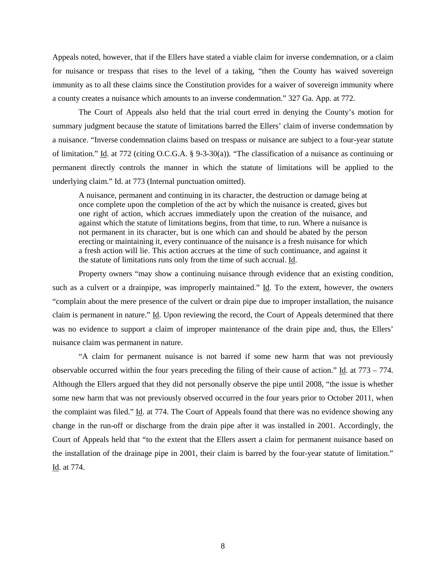Appeals noted, however, that if the Ellers have stated a viable claim for inverse condemnation, or a claim for nuisance or trespass that rises to the level of a taking, "then the County has waived sovereign immunity as to all these claims since the Constitution provides for a waiver of sovereign immunity where a county creates a nuisance which amounts to an inverse condemnation." 327 Ga. App. at 772.

The Court of Appeals also held that the trial court erred in denying the County's motion for summary judgment because the statute of limitations barred the Ellers' claim of inverse condemnation by a nuisance. "Inverse condemnation claims based on trespass or nuisance are subject to a four-year statute of limitation." Id. at 772 (citing [O.C.G.A. § 9-3-30\(a\)\)](https://www.lexis.com/research/buttonTFLink?_m=4fe2d356fcd448fdea75700c18bd7ed4&_xfercite=%3ccite%20cc%3d%22USA%22%3e%3c%21%5bCDATA%5b327%20Ga.%20App.%20770%5d%5d%3e%3c%2fcite%3e&_butType=4&_butStat=0&_butNum=36&_butInline=1&_butinfo=O.C.G.A.%209-3-30&_fmtstr=FULL&docnum=5&_startdoc=1&wchp=dGLzVzB-zSkAA&_md5=0004b863ae475795199ba0b28406a4e4). "The classification of a nuisance as continuing or permanent directly controls the manner in which the statute of limitations will be applied to the underlying claim." Id. at 773 (Internal punctuation omitted).

A nuisance, permanent and continuing in its character, the destruction or damage being at once complete upon the completion of the act by which the nuisance is created, gives but one right of action, which accrues immediately upon the creation of the nuisance, and against which the statute of limitations begins, from that time, to run. Where a nuisance is not permanent in its character, but is one which can and should be abated by the person erecting or maintaining it, every continuance of the nuisance is a fresh nuisance for which a fresh action will lie. This action accrues at the time of such continuance, and against it the statute of limitations runs only from the time of such accrual. Id.

Property owners "may show a continuing nuisance through evidence that an existing condition, such as a culvert or a drainpipe, was improperly maintained." Id. To the extent, however, the owners "complain about the mere presence of the culvert or drain pipe due to improper installation, the nuisance claim is permanent in nature." Id. Upon reviewing the record, the Court of Appeals determined that there was no evidence to support a claim of improper maintenance of the drain pipe and, thus, the Ellers' nuisance claim was permanent in nature.

"A claim for permanent nuisance is not barred if some new harm that was not previously observable occurred within the four years preceding the filing of their cause of action." Id. at 773 – 774. Although the Ellers argued that they did not personally observe the pipe until 2008, "the issue is whether some new harm that was not previously observed occurred in the four years prior to October 2011, when the complaint was filed." Id. at 774. The Court of Appeals found that there was no evidence showing any change in the run-off or discharge from the drain pipe after it was installed in 2001. Accordingly, the Court of Appeals held that "to the extent that the Ellers assert a claim for permanent nuisance based on the installation of the drainage pipe in 2001, their claim is barred by the four-year statute of limitation." Id. at 774.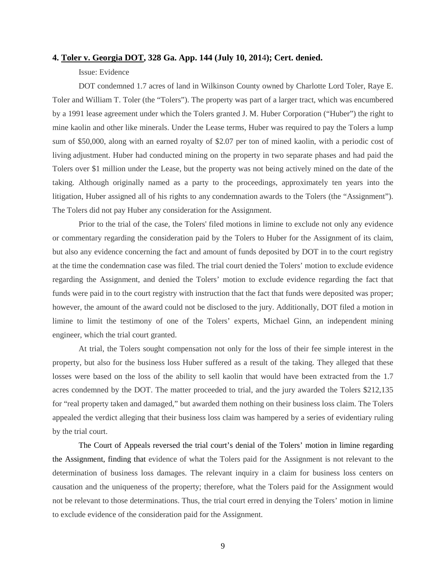#### **4. Toler v. Georgia DOT, 328 Ga. App. 144 (July 10, 201**4**); Cert. denied.**

# Issue: Evidence

DOT condemned 1.7 acres of land in Wilkinson County owned by Charlotte Lord Toler, Raye E. Toler and William T. Toler (the "Tolers"). The property was part of a larger tract, which was encumbered by a 1991 lease agreement under which the Tolers granted J. M. Huber Corporation ("Huber") the right to mine kaolin and other like minerals. Under the Lease terms, Huber was required to pay the Tolers a lump sum of \$50,000, along with an earned royalty of \$2.07 per ton of mined kaolin, with a periodic cost of living adjustment. Huber had conducted mining on the property in two separate phases and had paid the Tolers over \$1 million under the Lease, but the property was not being actively mined on the date of the taking. Although originally named as a party to the proceedings, approximately ten years into the litigation, Huber assigned all of his rights to any condemnation awards to the Tolers (the "Assignment"). The Tolers did not pay Huber any consideration for the Assignment.

Prior to the trial of the case, the Tolers' filed motions in limine to exclude not only any evidence or commentary regarding the consideration paid by the Tolers to Huber for the Assignment of its claim, but also any evidence concerning the fact and amount of funds deposited by DOT in to the court registry at the time the condemnation case was filed. The trial court denied the Tolers' motion to exclude evidence regarding the Assignment, and denied the Tolers' motion to exclude evidence regarding the fact that funds were paid in to the court registry with instruction that the fact that funds were deposited was proper; however, the amount of the award could not be disclosed to the jury. Additionally, DOT filed a motion in limine to limit the testimony of one of the Tolers' experts, Michael Ginn, an independent mining engineer, which the trial court granted.

At trial, the Tolers sought compensation not only for the loss of their fee simple interest in the property, but also for the business loss Huber suffered as a result of the taking. They alleged that these losses were based on the loss of the ability to sell kaolin that would have been extracted from the 1.7 acres condemned by the DOT. The matter proceeded to trial, and the jury awarded the Tolers \$212,135 for "real property taken and damaged," but awarded them nothing on their business loss claim. The Tolers appealed the verdict alleging that their business loss claim was hampered by a series of evidentiary ruling by the trial court.

The Court of Appeals reversed the trial court's denial of the Tolers' motion in limine regarding the Assignment, finding that evidence of what the Tolers paid for the Assignment is not relevant to the determination of business loss damages. The relevant inquiry in a claim for business loss centers on causation and the uniqueness of the property; therefore, what the Tolers paid for the Assignment would not be relevant to those determinations. Thus, the trial court erred in denying the Tolers' motion in limine to exclude evidence of the consideration paid for the Assignment.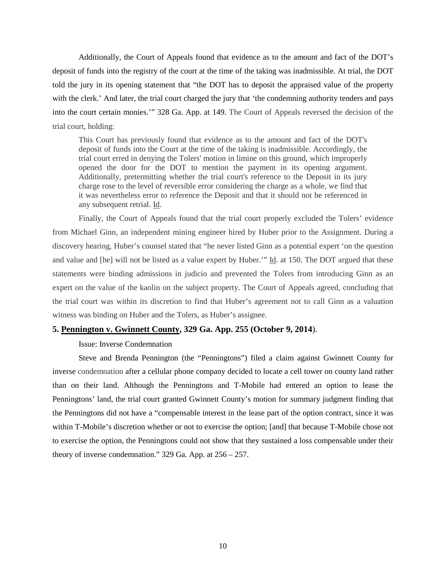Additionally, the Court of Appeals found that evidence as to the amount and fact of the DOT's deposit of funds into the registry of the court at the time of the taking was inadmissible. At trial, the DOT told the jury in its opening statement that "the DOT has to deposit the appraised value of the property with the clerk.' And later, the trial court charged the jury that 'the condemning authority tenders and pays into the court certain monies.'" 328 Ga. App. at 149. The Court of Appeals reversed the decision of the trial court, holding:

This Court has previously found that evidence as to the amount and fact of the DOT's deposit of funds into the Court at the time of the taking is inadmissible. Accordingly, the trial court erred in denying the Tolers' motion in limine on this ground, which improperly opened the door for the DOT to mention the payment in its opening argument. Additionally, pretermitting whether the trial court's reference to the Deposit in its jury charge rose to the level of reversible error considering the charge as a whole, we find that it was nevertheless error to reference the Deposit and that it should not be referenced in any subsequent retrial. Id.

Finally, the Court of Appeals found that the trial court properly excluded the Tolers' evidence from Michael Ginn, an independent mining engineer hired by Huber prior to the Assignment. During a discovery hearing, Huber's counsel stated that "he never listed Ginn as a potential expert 'on the question and value and [he] will not be listed as a value expert by Huber.'" Id. at 150. The DOT argued that these statements were binding admissions in judicio and prevented the Tolers from introducing Ginn as an expert on the value of the kaolin on the subject property. The Court of Appeals agreed, concluding that the trial court was within its discretion to find that Huber's agreement not to call Ginn as a valuation witness was binding on Huber and the Tolers, as Huber's assignee.

## **5. Pennington v. Gwinnett County, 329 Ga. App. 255 (October 9, 2014**).

#### Issue: Inverse Condemnation

Steve and Brenda Pennington (the "Penningtons") filed a claim against Gwinnett County for inverse condemnation after a cellular phone company decided to locate a cell tower on county land rather than on their land. Although the Penningtons and T-Mobile had entered an option to lease the Penningtons' land, the trial court granted Gwinnett County's motion for summary judgment finding that the Penningtons did not have a "compensable interest in the lease part of the option contract, since it was within T-Mobile's discretion whether or not to exercise the option; [and] that because T-Mobile chose not to exercise the option, the Penningtons could not show that they sustained a loss compensable under their theory of inverse condemnation." 329 Ga. App. at 256 – 257.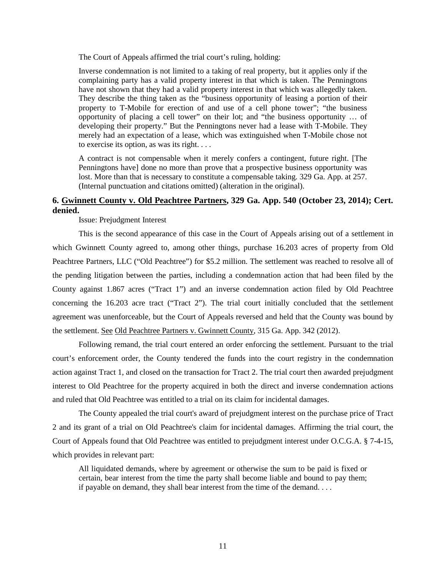The Court of Appeals affirmed the trial court's ruling, holding:

Inverse condemnation is not limited to a taking of real property, but it applies only if the complaining party has a valid property interest in that which is taken. The Penningtons have not shown that they had a valid property interest in that which was allegedly taken. They describe the thing taken as the "business opportunity of leasing a portion of their property to T-Mobile for erection of and use of a cell phone tower"; "the business opportunity of placing a cell tower" on their lot; and "the business opportunity … of developing their property." But the Penningtons never had a lease with T-Mobile. They merely had an expectation of a lease, which was extinguished when T-Mobile chose not to exercise its option, as was its right. . . .

A contract is not compensable when it merely confers a contingent, future right. [The Penningtons have] done no more than prove that a prospective business opportunity was lost. More than that is necessary to constitute a compensable taking. 329 Ga. App. at 257. (Internal punctuation and citations omitted) (alteration in the original).

# **6. Gwinnett County v. Old Peachtree Partners, 329 Ga. App. 540 (October 23, 2014); Cert. denied.**

Issue: Prejudgment Interest

This is the second appearance of this case in the Court of Appeals arising out of a settlement in which Gwinnett County agreed to, among other things, purchase 16.203 acres of property from Old Peachtree Partners, LLC ("Old Peachtree") for \$5.2 million. The settlement was reached to resolve all of the pending litigation between the parties, including a condemnation action that had been filed by the County against 1.867 acres ("Tract 1") and an inverse condemnation action filed by Old Peachtree concerning the 16.203 acre tract ("Tract 2"). The trial court initially concluded that the settlement agreement was unenforceable, but the Court of Appeals reversed and held that the County was bound by the settlement. See Old Peachtree Partners v. Gwinnett County, 315 Ga. App. 342 (2012).

Following remand, the trial court entered an order enforcing the settlement. Pursuant to the trial court's enforcement order, the County tendered the funds into the court registry in the condemnation action against Tract 1, and closed on the transaction for Tract 2. The trial court then awarded prejudgment interest to Old Peachtree for the property acquired in both the direct and inverse condemnation actions and ruled that Old Peachtree was entitled to a trial on its claim for incidental damages.

The County appealed the trial court's award of prejudgment interest on the purchase price of Tract 2 and its grant of a trial on Old Peachtree's claim for incidental damages. Affirming the trial court, the Court of Appeals found that Old Peachtree was entitled to prejudgment interest under O.C.G.A. § 7-4-15, which provides in relevant part:

All liquidated demands, where by agreement or otherwise the sum to be paid is fixed or certain, bear interest from the time the party shall become liable and bound to pay them; if payable on demand, they shall bear interest from the time of the demand. . . .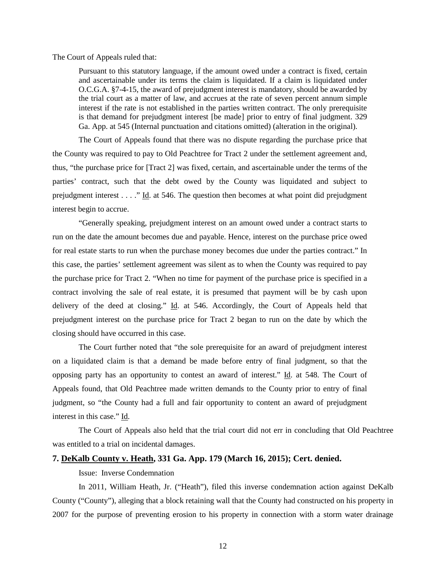The Court of Appeals ruled that:

Pursuant to this statutory language, if the amount owed under a contract is fixed, certain and ascertainable under its terms the claim is liquidated. If a claim is liquidated under O.C.G.A. §7-4-15, the award of prejudgment interest is mandatory, should be awarded by the trial court as a matter of law, and accrues at the rate of seven percent annum simple interest if the rate is not established in the parties written contract. The only prerequisite is that demand for prejudgment interest [be made] prior to entry of final judgment. 329 Ga. App. at 545 (Internal punctuation and citations omitted) (alteration in the original).

The Court of Appeals found that there was no dispute regarding the purchase price that the County was required to pay to Old Peachtree for Tract 2 under the settlement agreement and, thus, "the purchase price for [Tract 2] was fixed, certain, and ascertainable under the terms of the parties' contract, such that the debt owed by the County was liquidated and subject to prejudgment interest  $\dots$  ." Id. at 546. The question then becomes at what point did prejudgment interest begin to accrue.

"Generally speaking, prejudgment interest on an amount owed under a contract starts to run on the date the amount becomes due and payable. Hence, interest on the purchase price owed for real estate starts to run when the purchase money becomes due under the parties contract." In this case, the parties' settlement agreement was silent as to when the County was required to pay the purchase price for Tract 2. "When no time for payment of the purchase price is specified in a contract involving the sale of real estate, it is presumed that payment will be by cash upon delivery of the deed at closing." Id. at 546. Accordingly, the Court of Appeals held that prejudgment interest on the purchase price for Tract 2 began to run on the date by which the closing should have occurred in this case.

The Court further noted that "the sole prerequisite for an award of prejudgment interest on a liquidated claim is that a demand be made before entry of final judgment, so that the opposing party has an opportunity to contest an award of interest." Id. at 548. The Court of Appeals found, that Old Peachtree made written demands to the County prior to entry of final judgment, so "the County had a full and fair opportunity to content an award of prejudgment interest in this case." Id.

The Court of Appeals also held that the trial court did not err in concluding that Old Peachtree was entitled to a trial on incidental damages.

## **7. DeKalb County v. Heath, 331 Ga. App. 179 (March 16, 2015); Cert. denied.**

## Issue: Inverse Condemnation

In 2011, William Heath, Jr. ("Heath"), filed this inverse condemnation action against DeKalb County ("County"), alleging that a block retaining wall that the County had constructed on his property in 2007 for the purpose of preventing erosion to his property in connection with a storm water drainage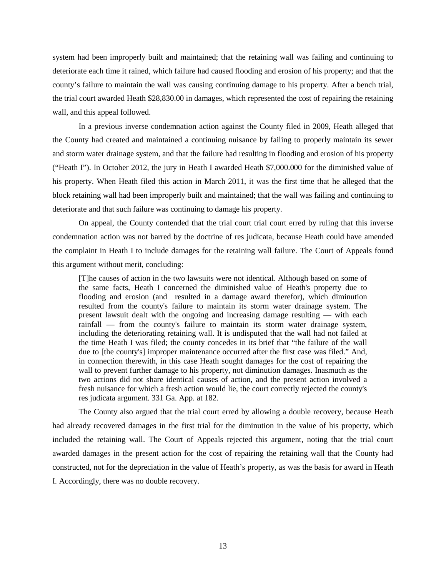system had been improperly built and maintained; that the retaining wall was failing and continuing to deteriorate each time it rained, which failure had caused flooding and erosion of his property; and that the county's failure to maintain the wall was causing continuing damage to his property. After a bench trial, the trial court awarded Heath \$28,830.00 in damages, which represented the cost of repairing the retaining wall, and this appeal followed.

In a previous inverse condemnation action against the County filed in 2009, Heath alleged that the County had created and maintained a continuing nuisance by failing to properly maintain its sewer and storm water drainage system, and that the failure had resulting in flooding and erosion of his property ("Heath I"). In October 2012, the jury in Heath I awarded Heath \$7,000.000 for the diminished value of his property. When Heath filed this action in March 2011, it was the first time that he alleged that the block retaining wall had been improperly built and maintained; that the wall was failing and continuing to deteriorate and that such failure was continuing to damage his property.

On appeal, the County contended that the trial court trial court erred by ruling that this inverse condemnation action was not barred by the doctrine of res judicata, because Heath could have amended the complaint in Heath I to include damages for the retaining wall failure. The Court of Appeals found this argument without merit, concluding:

[T]he causes of action in the two lawsuits were not identical. Although based on some of the same facts, Heath I concerned the diminished value of Heath's property due to flooding and erosion (and resulted in a damage award therefor), which diminution resulted from the county's failure to maintain its storm water drainage system. The present lawsuit dealt with the ongoing and increasing damage resulting — with each rainfall — from the county's failure to maintain its storm water drainage system, including the deteriorating retaining wall. It is undisputed that the wall had not failed at the time Heath I was filed; the county concedes in its brief that "the failure of the wall due to [the county's] improper maintenance occurred after the first case was filed." And, in connection therewith, in this case Heath sought damages for the cost of repairing the wall to prevent further damage to his property, not diminution damages. Inasmuch as the two actions did not share identical causes of action, and the present action involved a fresh nuisance for which a fresh action would lie, the court correctly rejected the county's res judicata argument. 331 Ga. App. at 182.

The County also argued that the trial court erred by allowing a double recovery, because Heath had already recovered damages in the first trial for the diminution in the value of his property, which included the retaining wall. The Court of Appeals rejected this argument, noting that the trial court awarded damages in the present action for the cost of repairing the retaining wall that the County had constructed, not for the depreciation in the value of Heath's property, as was the basis for award in Heath I. Accordingly, there was no double recovery.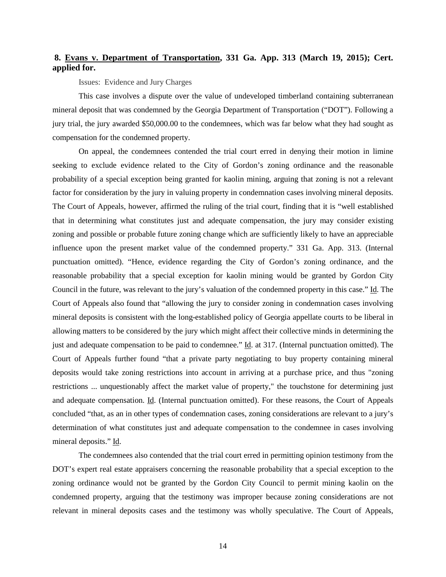# **8. Evans v. Department of Transportation, 331 Ga. App. 313 (March 19, 2015); Cert. applied for.**

Issues: Evidence and Jury Charges

This case involves a dispute over the value of undeveloped timberland containing subterranean mineral deposit that was condemned by the Georgia Department of Transportation ("DOT"). Following a jury trial, the jury awarded \$50,000.00 to the condemnees, which was far below what they had sought as compensation for the condemned property.

On appeal, the condemnees contended the trial court erred in denying their motion in limine seeking to exclude evidence related to the City of Gordon's zoning ordinance and the reasonable probability of a special exception being granted for kaolin mining, arguing that zoning is not a relevant factor for consideration by the jury in valuing property in condemnation cases involving mineral deposits. The Court of Appeals, however, affirmed the ruling of the trial court, finding that it is "well established that in determining what constitutes just and adequate compensation, the jury may consider existing zoning and possible or probable future zoning change which are sufficiently likely to have an appreciable influence upon the present market value of the condemned property." 331 Ga. App. 313. (Internal punctuation omitted). "Hence, evidence regarding the City of Gordon's zoning ordinance, and the reasonable probability that a special exception for kaolin mining would be granted by Gordon City Council in the future, was relevant to the jury's valuation of the condemned property in this case." Id. The Court of Appeals also found that "allowing the jury to consider zoning in condemnation cases involving mineral deposits is consistent with the long-established policy of Georgia appellate courts to be liberal in allowing matters to be considered by the jury which might affect their collective minds in determining the just and adequate compensation to be paid to condemnee." Id. at 317. (Internal punctuation omitted). The Court of Appeals further found "that a private party negotiating to buy property containing mineral deposits would take zoning restrictions into account in arriving at a purchase price, and thus "zoning restrictions ... unquestionably affect the market value of property," the touchstone for determining just and adequate compensation. Id. (Internal punctuation omitted). For these reasons, the Court of Appeals concluded "that, as an in other types of condemnation cases, zoning considerations are relevant to a jury's determination of what constitutes just and adequate compensation to the condemnee in cases involving mineral deposits." Id.

The condemnees also contended that the trial court erred in permitting opinion testimony from the DOT's expert real estate appraisers concerning the reasonable probability that a special exception to the zoning ordinance would not be granted by the Gordon City Council to permit mining kaolin on the condemned property, arguing that the testimony was improper because zoning considerations are not relevant in mineral deposits cases and the testimony was wholly speculative. The Court of Appeals,